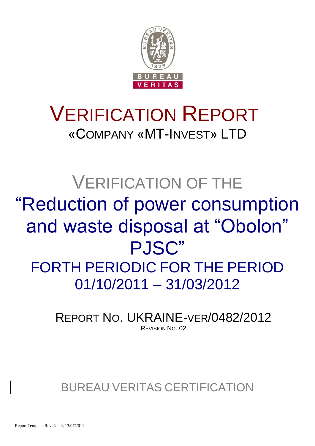

# VERIFICATION REPORT «COMPANY «MT-INVEST» LTD

# VERIFICATION OF THE "Reduction of power consumption and waste disposal at "Obolon" PJSC" FORTH PERIODIC FOR THE PERIOD 01/10/2011 – 31/03/2012

REPORT NO. UKRAINE-VER/0482/2012 REVISION NO. 02

BUREAU VERITAS CERTIFICATION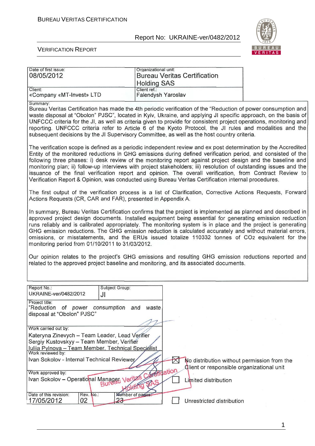Organizational unit:



Ī

#### VERIFICATION REPORT

Date of first issue:

| 08/05/2012                                                                                                                                                                                                                                                                                                                                                                                                                                                                                                                                                                                                                                                                              | <b>Holding SAS</b>                 |        | <b>Bureau Veritas Certification</b> |  |
|-----------------------------------------------------------------------------------------------------------------------------------------------------------------------------------------------------------------------------------------------------------------------------------------------------------------------------------------------------------------------------------------------------------------------------------------------------------------------------------------------------------------------------------------------------------------------------------------------------------------------------------------------------------------------------------------|------------------------------------|--------|-------------------------------------|--|
| Client:<br>«Company «MT-Invest» LTD                                                                                                                                                                                                                                                                                                                                                                                                                                                                                                                                                                                                                                                     | Client ref.:<br>Falendysh Yaroslav |        |                                     |  |
| Summary:<br>Bureau Veritas Certification has made the 4th periodic verification of the "Reduction of power consumption and<br>waste disposal at "Obolon" PJSC", located in Kyiv, Ukraine, and applying JI specific approach, on the basis of<br>UNFCCC criteria for the JI, as well as criteria given to provide for consistent project operations, monitoring and<br>reporting. UNFCCC criteria refer to Article 6 of the Kyoto Protocol, the JI rules and modalities and the<br>subsequent decisions by the JI Supervisory Committee, as well as the host country criteria.                                                                                                           |                                    |        |                                     |  |
| The verification scope is defined as a periodic independent review and ex post determination by the Accredited<br>Entity of the monitored reductions in GHG emissions during defined verification period, and consisted of the<br>following three phases: i) desk review of the monitoring report against project design and the baseline and<br>monitoring plan; ii) follow-up interviews with project stakeholders; iii) resolution of outstanding issues and the<br>issuance of the final verification report and opinion. The overall verification, from Contract Review to<br>Verification Report & Opinion, was conducted using Bureau Veritas Certification internal procedures. |                                    |        |                                     |  |
| The first output of the verification process is a list of Clarification, Corrective Actions Requests, Forward<br>Actions Requests (CR, CAR and FAR), presented in Appendix A.                                                                                                                                                                                                                                                                                                                                                                                                                                                                                                           |                                    |        |                                     |  |
| In summary, Bureau Veritas Certification confirms that the project is implemented as planned and described in<br>approved project design documents. Installed equipment being essential for generating emission reduction<br>runs reliably and is calibrated appropriately. The monitoring system is in place and the project is generating<br>GHG emission reductions. The GHG emission reduction is calculated accurately and without material errors,<br>omissions, or misstatements, and the ERUs issued totalize 110332 tonnes of CO2 equivalent for the<br>monitoring period from 01/10/2011 to 31/03/2012.                                                                       |                                    |        |                                     |  |
| Our opinion relates to the project's GHG emissions and resulting GHG emission reductions reported and<br>related to the approved project baseline and monitoring, and its associated documents.                                                                                                                                                                                                                                                                                                                                                                                                                                                                                         |                                    |        |                                     |  |
| Report No.:<br>Subject Group:<br>UKRAINE-ver/0482/2012<br>JI                                                                                                                                                                                                                                                                                                                                                                                                                                                                                                                                                                                                                            |                                    |        |                                     |  |
| Project title:<br>"Reduction of power consumption and waste<br>disposal at "Obolon" PJSC"                                                                                                                                                                                                                                                                                                                                                                                                                                                                                                                                                                                               |                                    |        |                                     |  |
| Work carried out by:<br>Kateryna Zinevych - Team Leader, Lead Verifier<br>Sergiy Kustovskyy - Team Member, Verifier<br>Iuliia Pylnova - Team Member, Technical Specialist<br>Work reviewed by:                                                                                                                                                                                                                                                                                                                                                                                                                                                                                          |                                    |        |                                     |  |
| Ivan Sokolov - Internal Technical Reviewer<br>No distribution without permission from the<br>Glient or responsible organizational unit                                                                                                                                                                                                                                                                                                                                                                                                                                                                                                                                                  |                                    |        |                                     |  |
| Work approved by:<br>Ivan Sokolov - Operational Manager Verli                                                                                                                                                                                                                                                                                                                                                                                                                                                                                                                                                                                                                           |                                    | tation | Limited distribution                |  |
| Date of this revision:<br>Rev. No.:<br>Mumber of pages<br>23<br>17/05/2012<br>02                                                                                                                                                                                                                                                                                                                                                                                                                                                                                                                                                                                                        |                                    |        | Unrestricted distribution           |  |

1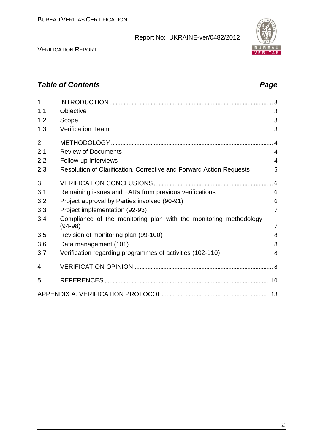VERIFICATION REPORT

| 1              |                                                                                |                |
|----------------|--------------------------------------------------------------------------------|----------------|
| 1.1            | Objective                                                                      | 3              |
| 1.2            | Scope                                                                          | 3              |
| 1.3            | <b>Verification Team</b>                                                       | 3              |
| $\overline{2}$ |                                                                                |                |
| 2.1            | <b>Review of Documents</b>                                                     | $\overline{4}$ |
| 2.2            | Follow-up Interviews                                                           | 4              |
| 2.3            | Resolution of Clarification, Corrective and Forward Action Requests            | 5              |
| 3              |                                                                                |                |
| 3.1            | Remaining issues and FARs from previous verifications                          | 6              |
| 3.2            | Project approval by Parties involved (90-91)                                   | 6              |
| 3.3            | Project implementation (92-93)                                                 | $\overline{7}$ |
| 3.4            | Compliance of the monitoring plan with the monitoring methodology<br>$(94-98)$ | $\overline{7}$ |
| 3.5            | Revision of monitoring plan (99-100)                                           | 8              |
| 3.6            | Data management (101)                                                          | 8              |
| 3.7            | Verification regarding programmes of activities (102-110)                      | 8              |
| 4              |                                                                                |                |
| 5              |                                                                                |                |
|                |                                                                                |                |

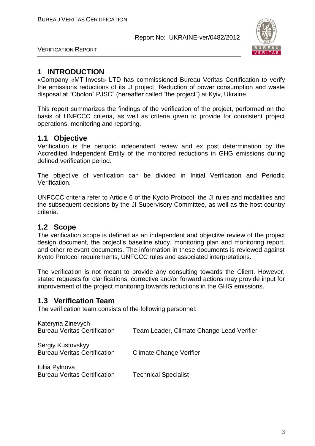

VERIFICATION REPORT

# **1 INTRODUCTION**

«Company «MT-Invest» LTD has commissioned Bureau Veritas Certification to verify the emissions reductions of its JI project "Reduction of power consumption and waste disposal at "Obolon" PJSC" (hereafter called "the project") at Kyiv, Ukraine.

This report summarizes the findings of the verification of the project, performed on the basis of UNFCCC criteria, as well as criteria given to provide for consistent project operations, monitoring and reporting.

# **1.1 Objective**

Verification is the periodic independent review and ex post determination by the Accredited Independent Entity of the monitored reductions in GHG emissions during defined verification period.

The objective of verification can be divided in Initial Verification and Periodic Verification.

UNFCCC criteria refer to Article 6 of the Kyoto Protocol, the JI rules and modalities and the subsequent decisions by the JI Supervisory Committee, as well as the host country criteria.

# **1.2 Scope**

The verification scope is defined as an independent and objective review of the project design document, the project's baseline study, monitoring plan and monitoring report, and other relevant documents. The information in these documents is reviewed against Kyoto Protocol requirements, UNFCCC rules and associated interpretations.

The verification is not meant to provide any consulting towards the Client. However, stated requests for clarifications, corrective and/or forward actions may provide input for improvement of the project monitoring towards reductions in the GHG emissions.

# **1.3 Verification Team**

The verification team consists of the following personnel:

| Kateryna Zinevych<br><b>Bureau Veritas Certification</b> | Team Leader, Climate Change Lead Verifier |
|----------------------------------------------------------|-------------------------------------------|
| Sergiy Kustovskyy<br><b>Bureau Veritas Certification</b> | <b>Climate Change Verifier</b>            |
| Iuliia Pylnova<br><b>Bureau Veritas Certification</b>    | <b>Technical Specialist</b>               |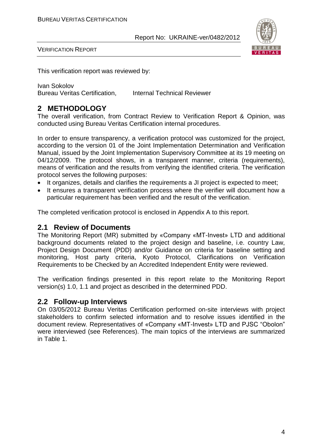

VERIFICATION REPORT

This verification report was reviewed by:

Ivan Sokolov Bureau Veritas Certification, Internal Technical Reviewer

# **2 METHODOLOGY**

The overall verification, from Contract Review to Verification Report & Opinion, was conducted using Bureau Veritas Certification internal procedures.

In order to ensure transparency, a verification protocol was customized for the project, according to the version 01 of the Joint Implementation Determination and Verification Manual, issued by the Joint Implementation Supervisory Committee at its 19 meeting on 04/12/2009. The protocol shows, in a transparent manner, criteria (requirements), means of verification and the results from verifying the identified criteria. The verification protocol serves the following purposes:

- It organizes, details and clarifies the requirements a JI project is expected to meet;
- It ensures a transparent verification process where the verifier will document how a particular requirement has been verified and the result of the verification.

The completed verification protocol is enclosed in Appendix A to this report.

# **2.1 Review of Documents**

The Monitoring Report (MR) submitted by «Company «MT-Invest» LTD and additional background documents related to the project design and baseline, i.e. country Law, Project Design Document (PDD) and/or Guidance on criteria for baseline setting and monitoring, Host party criteria, Kyoto Protocol, Clarifications on Verification Requirements to be Checked by an Accredited Independent Entity were reviewed.

The verification findings presented in this report relate to the Monitoring Report version(s) 1.0, 1.1 and project as described in the determined PDD.

# **2.2 Follow-up Interviews**

On 03/05/2012 Bureau Veritas Certification performed on-site interviews with project stakeholders to confirm selected information and to resolve issues identified in the document review. Representatives of «Company «MT-Invest» LTD and PJSC "Obolon" were interviewed (see References). The main topics of the interviews are summarized in Table 1.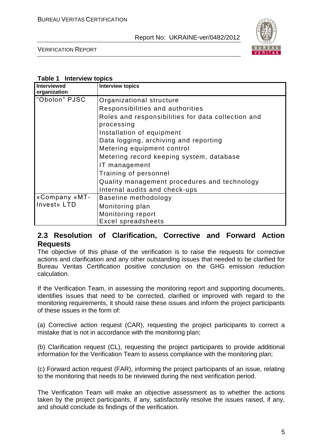

VERIFICATION REPORT

| Table 1 Interview topics |
|--------------------------|
|--------------------------|

| <b>Interviewed</b><br>organization | <b>Interview topics</b>                                          |
|------------------------------------|------------------------------------------------------------------|
| "Obolon" PJSC                      | Organizational structure                                         |
|                                    | Responsibilities and authorities                                 |
|                                    | Roles and responsibilities for data collection and<br>processing |
|                                    | Installation of equipment                                        |
|                                    | Data logging, archiving and reporting                            |
|                                    | Metering equipment control                                       |
|                                    | Metering record keeping system, database                         |
|                                    | IT management                                                    |
|                                    | Training of personnel                                            |
|                                    | Quality management procedures and technology                     |
|                                    | Internal audits and check-ups                                    |
| «Company «MT-                      | Baseline methodology                                             |
| Invest» LTD                        | Monitoring plan                                                  |
|                                    | Monitoring report                                                |
|                                    | Excel spreadsheets                                               |

# **2.3 Resolution of Clarification, Corrective and Forward Action Requests**

The objective of this phase of the verification is to raise the requests for corrective actions and clarification and any other outstanding issues that needed to be clarified for Bureau Veritas Certification positive conclusion on the GHG emission reduction calculation.

If the Verification Team, in assessing the monitoring report and supporting documents, identifies issues that need to be corrected, clarified or improved with regard to the monitoring requirements, it should raise these issues and inform the project participants of these issues in the form of:

(a) Corrective action request (CAR), requesting the project participants to correct a mistake that is not in accordance with the monitoring plan;

(b) Clarification request (CL), requesting the project participants to provide additional information for the Verification Team to assess compliance with the monitoring plan;

(c) Forward action request (FAR), informing the project participants of an issue, relating to the monitoring that needs to be reviewed during the next verification period.

The Verification Team will make an objective assessment as to whether the actions taken by the project participants, if any, satisfactorily resolve the issues raised, if any, and should conclude its findings of the verification.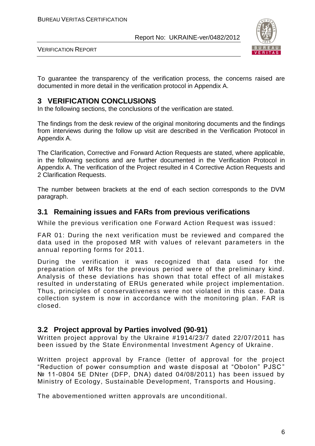

VERIFICATION REPORT

To guarantee the transparency of the verification process, the concerns raised are documented in more detail in the verification protocol in Appendix A.

# **3 VERIFICATION CONCLUSIONS**

In the following sections, the conclusions of the verification are stated.

The findings from the desk review of the original monitoring documents and the findings from interviews during the follow up visit are described in the Verification Protocol in Appendix A.

The Clarification, Corrective and Forward Action Requests are stated, where applicable, in the following sections and are further documented in the Verification Protocol in Appendix A. The verification of the Project resulted in 4 Corrective Action Requests and 2 Clarification Requests.

The number between brackets at the end of each section corresponds to the DVM paragraph.

# **3.1 Remaining issues and FARs from previous verifications**

While the previous verification one Forward Action Request was issued :

FAR 01: During the next verification must be reviewed and compared the data used in the proposed MR with values of relevant parameters in the annual reporting forms for 2011.

During the verification it was recognized that data used for the preparation of MRs for the previous period were of the preliminary kind. Analysis of these deviations has shown that total effect of all mistakes resulted in understating of ERUs generated while project implementation. Thus, principles of conservativeness were not violated in this case. Data collection system is now in accordance with the monitoring plan. FAR is closed.

# **3.2 Project approval by Parties involved (90-91)**

Written project approval by the Ukraine #1914/23/7 dated 22/07/2011 has been issued by the State Environmental Investment Agency of Ukraine.

Written project approval by France (letter of approval for the project "Reduction of power consumption and waste disposal at "Obolon" PJSC " № 11-0804 5E DNter (DFP, DNA) dated 04/08/2011) has been issued by Ministry of Ecology, Sustainable Development, Transports and Housing .

The abovementioned written approvals are unconditional.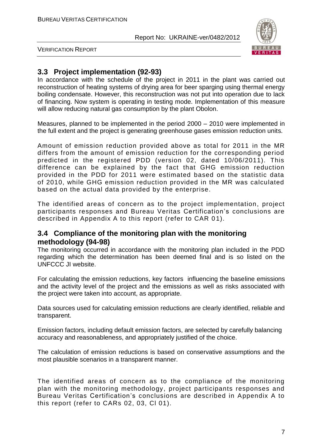

VERIFICATION REPORT

# **3.3 Project implementation (92-93)**

In accordance with the schedule of the project in 2011 in the plant was carried out reconstruction of heating systems of drying area for beer sparging using thermal energy boiling condensate. However, this reconstruction was not put into operation due to lack of financing. Now system is operating in testing mode. Implementation of this measure will allow reducing natural gas consumption by the plant Obolon.

Measures, planned to be implemented in the period 2000 – 2010 were implemented in the full extent and the project is generating greenhouse gases emission reduction units.

Amount of emission reduction provided above as total for 2011 in the MR differs from the amount of emission reduction for the corresponding period predicted in the registered PDD (version 02, dated 10/06/2011). This difference can be explained by the fact that GHG emission reduction provided in the PDD for 2011 were estimated based on the statistic data of 2010, while GHG emission reduction provided in the MR was calculated based on the actual data provided by the enterprise.

The identified areas of concern as to the project implementation, project participants responses and Bureau Veritas Certification's conclusions are described in Appendix A to this report (refer to CAR 01).

# **3.4 Compliance of the monitoring plan with the monitoring methodology (94-98)**

The monitoring occurred in accordance with the monitoring plan included in the PDD regarding which the determination has been deemed final and is so listed on the UNFCCC JI website.

For calculating the emission reductions, key factors influencing the baseline emissions and the activity level of the project and the emissions as well as risks associated with the project were taken into account, as appropriate.

Data sources used for calculating emission reductions are clearly identified, reliable and transparent.

Emission factors, including default emission factors, are selected by carefully balancing accuracy and reasonableness, and appropriately justified of the choice.

The calculation of emission reductions is based on conservative assumptions and the most plausible scenarios in a transparent manner.

The identified areas of concern as to the compliance of the monitoring plan with the monitoring methodology, project participants responses and Bureau Veritas Certification's conclusions are described in Appendix A to this report (refer to CARs 02, 03, Cl 01).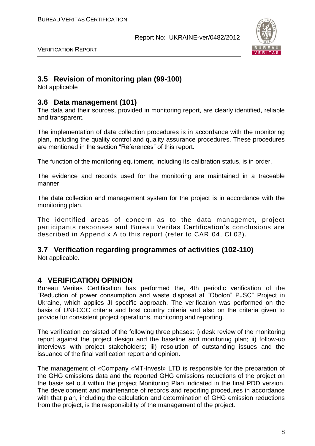

VERIFICATION REPORT

# **3.5 Revision of monitoring plan (99-100)**

Not applicable

#### **3.6 Data management (101)**

The data and their sources, provided in monitoring report, are clearly identified, reliable and transparent.

The implementation of data collection procedures is in accordance with the monitoring plan, including the quality control and quality assurance procedures. These procedures are mentioned in the section "References" of this report.

The function of the monitoring equipment, including its calibration status, is in order.

The evidence and records used for the monitoring are maintained in a traceable manner.

The data collection and management system for the project is in accordance with the monitoring plan.

The identified areas of concern as to the data managemet, project participants responses and Bureau Veritas Certification's conclusions are described in Appendix A to this report (refer to CAR 04, Cl 02).

# **3.7 Verification regarding programmes of activities (102-110)**

Not applicable.

# **4 VERIFICATION OPINION**

Bureau Veritas Certification has performed the, 4th periodic verification of the "Reduction of power consumption and waste disposal at "Obolon" PJSC" Project in Ukraine, which applies JI specific approach. The verification was performed on the basis of UNFCCC criteria and host country criteria and also on the criteria given to provide for consistent project operations, monitoring and reporting.

The verification consisted of the following three phases: i) desk review of the monitoring report against the project design and the baseline and monitoring plan; ii) follow-up interviews with project stakeholders; iii) resolution of outstanding issues and the issuance of the final verification report and opinion.

The management of «Company «MT-Invest» LTD is responsible for the preparation of the GHG emissions data and the reported GHG emissions reductions of the project on the basis set out within the project Monitoring Plan indicated in the final PDD version. The development and maintenance of records and reporting procedures in accordance with that plan, including the calculation and determination of GHG emission reductions from the project, is the responsibility of the management of the project.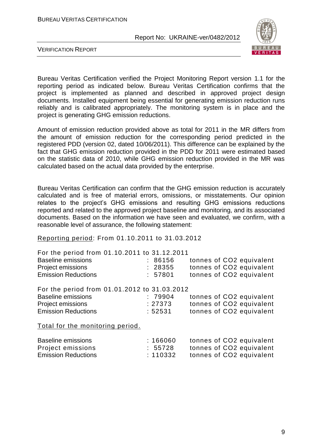

VERIFICATION REPORT

Bureau Veritas Certification verified the Project Monitoring Report version 1.1 for the reporting period as indicated below. Bureau Veritas Certification confirms that the project is implemented as planned and described in approved project design documents. Installed equipment being essential for generating emission reduction runs reliably and is calibrated appropriately. The monitoring system is in place and the project is generating GHG emission reductions.

Amount of emission reduction provided above as total for 2011 in the MR differs from the amount of emission reduction for the corresponding period predicted in the registered PDD (version 02, dated 10/06/2011). This difference can be explained by the fact that GHG emission reduction provided in the PDD for 2011 were estimated based on the statistic data of 2010, while GHG emission reduction provided in the MR was calculated based on the actual data provided by the enterprise.

Bureau Veritas Certification can confirm that the GHG emission reduction is accurately calculated and is free of material errors, omissions, or misstatements. Our opinion relates to the project's GHG emissions and resulting GHG emissions reductions reported and related to the approved project baseline and monitoring, and its associated documents. Based on the information we have seen and evaluated, we confirm, with a reasonable level of assurance, the following statement:

Reporting period: From 01.10.2011 to 31.03.2012

| For the period from 01.10.2011 to 31.12.2011 |         |                          |
|----------------------------------------------|---------|--------------------------|
| <b>Baseline emissions</b>                    | : 86156 | tonnes of CO2 equivalent |
| Project emissions                            | : 28355 | tonnes of CO2 equivalent |
| <b>Emission Reductions</b>                   | : 57801 | tonnes of CO2 equivalent |
| For the period from 01.01.2012 to 31.03.2012 |         |                          |
| <b>Baseline emissions</b>                    | :79904  | tonnes of CO2 equivalent |
| Project emissions                            | : 27373 | tonnes of CO2 equivalent |
| <b>Emission Reductions</b>                   | :52531  | tonnes of CO2 equivalent |
| Total for the monitoring period.             |         |                          |

| <b>Baseline emissions</b>  | :166060 | tonnes of CO2 equivalent |
|----------------------------|---------|--------------------------|
| Project emissions          | : 55728 | tonnes of CO2 equivalent |
| <b>Emission Reductions</b> | :110332 | tonnes of CO2 equivalent |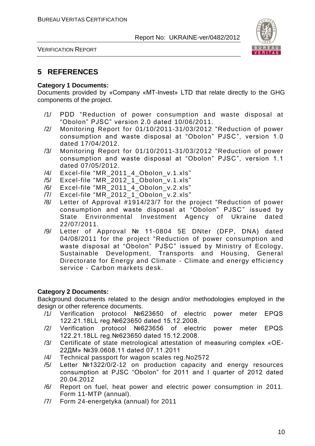

VERIFICATION REPORT

# **5 REFERENCES**

#### **Category 1 Documents:**

Documents provided by «Company «MT-Invest» LTD that relate directly to the GHG components of the project.

- /1/ PDD "Reduction of power consumption and waste disposal at "Obolon" PJSC" version 2.0 dated 10/06/2011.
- /2/ Monitoring Report for 01/10/2011-31/03/2012 "Reduction of power consumption and waste disposal at "Obolon" PJSC", version 1.0 dated 17/04/2012.
- /3/ Monitoring Report for 01/10/2011-31/03/2012 "Reduction of power consumption and waste disposal at "Obolon" PJSC", version 1.1 dated 07/05/2012.
- /4/ Excel-file "MR\_2011\_4\_Obolon\_v.1.xls"
- /5/ Excel-file "MR\_2012\_1\_Obolon\_v.1.xls"
- /6/ Excel-file "MR\_2011\_4\_Obolon\_v.2.xls"
- /7/ Excel-file "MR\_2012\_1\_Obolon\_v.2.xls"
- /8/ Letter of Approval #1914/23/7 for the project "Reduction of power consumption and waste disposal at "Obolon" PJSC" issued by State Environmental Investment Agency of Ukraine dated 22/07/2011.
- /9/ Letter of Approval № 11-0804 5E DNter (DFP, DNA) dated 04/08/2011 for the project "Reduction of power consumption and waste disposal at "Obolon" PJSC" issued by Ministry of Ecology, Sustainable Development, Transports and Housing, General Directorate for Energy and Climate - Climate and energy efficiency service - Carbon markets desk.

#### **Category 2 Documents:**

Background documents related to the design and/or methodologies employed in the design or other reference documents.

- /1/ Verification protocol №623650 of electric power meter EPQS 122.21.18LL reg.№623650 dated 15.12.2008.
- /2/ Verification protocol №623656 of electric power meter EPQS 122.21.18LL reg.№623650 dated 15.12.2008.
- /3/ Certificate of state metrological attestation of measuring complex «ОЕ-22ДМ» №39.0608.11 dated 07.11.2011
- /4/ Technical passport for wagon scales reg.No2572
- /5/ Letter №1322/0/2-12 on production capacity and energy resources consumption at PJSC "Obolon" for 2011 and I quarter of 2012 dated 20.04.2012
- /6/ Report on fuel, heat power and electric power consumption in 2011. Form 11-MTP (annual).
- /7/ Form 24-energetyka (annual) for 2011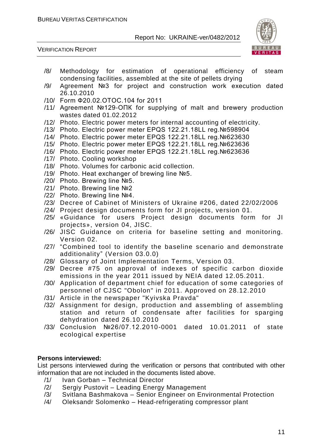



- /8/ Methodology for estimation of operational efficiency of steam condensing facilities, assembled at the site of pellets drying
- /9/ Agreement №3 for project and construction work execution dated 26.10.2010
- /10/ Form Ф20.02.ОТОС.104 for 2011
- /11/ Agreement №129-ОПК for supplying of malt and brewery production wastes dated 01.02.2012
- /12/ Photo. Electric power meters for internal accounting of electricity.
- /13/ Photo. Electric power meter EPQS 122.21.18LL reg.№598904
- /14/ Photo. Electric power meter EPQS 122.21.18LL reg.№623630
- /15/ Photo. Electric power meter EPQS 122.21.18LL reg.№623636
- /16/ Photo. Electric power meter EPQS 122.21.18LL reg.№623636
- /17/ Photo. Cooling workshop
- /18/ Photo. Volumes for carbonic acid collection.
- /19/ Photo. Heat exchanger of brewing line №5.
- /20/ Photo. Brewing line №5.
- /21/ Photo. Brewing line №2
- /22/ Photo. Brewing line №4.
- /23/ Decree of Cabinet of Ministers of Ukraine #206, dated 22/02/2006
- /24/ Project design documents form for JI projects, version 01.
- /25/ «Guidance for users Project design documents form for JI projects», version 04, JISC.
- /26/ JISC Guidance on criteria for baseline setting and monitoring. Version 02.
- /27/ "Combined tool to identify the baseline scenario and demonstrate additionality" (Version 03.0.0)
- /28/ Glossary of Joint Implementation Terms, Version 03.
- /29/ Decree #75 on approval of indexes of specific carbon dioxide emissions in the year 2011 issued by NEIA dated 12.05.2011.
- /30/ Application of department chief for education of some categories of personnel of CJSC "Obolon" in 2011. Approved on 28.12.2010
- /31/ Article in the newspaper "Kyivska Pravda"
- /32/ Assignment for design, production and assembling of assembling station and return of condensate after facilities for sparging dehydration dated 26.10.2010
- /33/ Conclusion №26/07.12.2010-0001 dated 10.01.2011 of state ecological expertise

#### **Persons interviewed:**

List persons interviewed during the verification or persons that contributed with other information that are not included in the documents listed above.

- /1/ Ivan Gorban Technical Director
- /2/ Sergiy Pustovit Leading Energy Management
- /3/ Svitlana Bashmakova Senior Engineer on Environmental Protection
- /4/ Oleksandr Solomenko Head-refrigerating compressor plant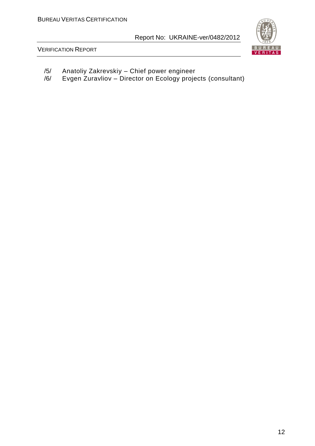

VERIFICATION REPORT

- /5/ Anatoliy Zakrevskiy Chief power engineer
- /6/ Evgen Zuravliov Director on Ecology projects (consultant)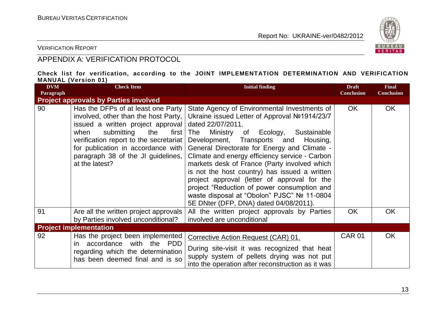

VERIFICATION REPORT

# APPENDIX A: VERIFICATION PROTOCOL

#### **Check list for verification, according to the JOINT IMPLEMENTATION DETERMINATION AND VERIFICATION MANUAL (Version 01)**

| <b>DVM</b><br>Paragraph | <b>Check Item</b>                                                                                                                                                                                                                                                                             | <b>Initial finding</b>                                                                                                                                                                                                                                                                                                                                                                                                                                                                                                                                                                                  | <b>Draft</b><br><b>Conclusion</b> | <b>Final</b><br><b>Conclusion</b> |
|-------------------------|-----------------------------------------------------------------------------------------------------------------------------------------------------------------------------------------------------------------------------------------------------------------------------------------------|---------------------------------------------------------------------------------------------------------------------------------------------------------------------------------------------------------------------------------------------------------------------------------------------------------------------------------------------------------------------------------------------------------------------------------------------------------------------------------------------------------------------------------------------------------------------------------------------------------|-----------------------------------|-----------------------------------|
|                         | <b>Project approvals by Parties involved</b>                                                                                                                                                                                                                                                  |                                                                                                                                                                                                                                                                                                                                                                                                                                                                                                                                                                                                         |                                   |                                   |
| 90                      | Has the DFPs of at least one Party<br>involved, other than the host Party,<br>issued a written project approval<br>submitting<br>when<br>the<br>first<br>verification report to the secretariat<br>for publication in accordance with<br>paragraph 38 of the JI guidelines,<br>at the latest? | State Agency of Environmental Investments of<br>Ukraine issued Letter of Approval №1914/23/7<br>dated 22/07/2011.<br>Ministry of<br>Ecology,<br>The<br>Sustainable<br>Development, Transports and<br>Housing,<br>General Directorate for Energy and Climate -<br>Climate and energy efficiency service - Carbon<br>markets desk of France (Party involved which<br>is not the host country) has issued a written<br>project approval (letter of approval for the<br>project "Reduction of power consumption and<br>waste disposal at "Obolon" PJSC" № 11-0804<br>5E DNter (DFP, DNA) dated 04/08/2011). | <b>OK</b>                         | <b>OK</b>                         |
| 91                      | Are all the written project approvals<br>by Parties involved unconditional?                                                                                                                                                                                                                   | All the written project approvals by Parties<br>involved are unconditional                                                                                                                                                                                                                                                                                                                                                                                                                                                                                                                              | <b>OK</b>                         | <b>OK</b>                         |
|                         | <b>Project implementation</b>                                                                                                                                                                                                                                                                 |                                                                                                                                                                                                                                                                                                                                                                                                                                                                                                                                                                                                         |                                   |                                   |
| 92                      | Has the project been implemented<br>with the<br>accordance<br><b>PDD</b><br>in.<br>regarding which the determination<br>has been deemed final and is so                                                                                                                                       | Corrective Action Request (CAR) 01.<br>During site-visit it was recognized that heat<br>supply system of pellets drying was not put<br>into the operation after reconstruction as it was                                                                                                                                                                                                                                                                                                                                                                                                                | <b>CAR 01</b>                     | <b>OK</b>                         |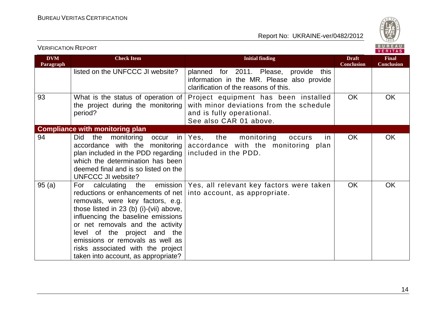

|                         |                                                                                                                                                                                                                                                                                                                                                                              |                                                                                                                                        |                                   | <u>.</u>                          |
|-------------------------|------------------------------------------------------------------------------------------------------------------------------------------------------------------------------------------------------------------------------------------------------------------------------------------------------------------------------------------------------------------------------|----------------------------------------------------------------------------------------------------------------------------------------|-----------------------------------|-----------------------------------|
| <b>DVM</b><br>Paragraph | <b>Check Item</b>                                                                                                                                                                                                                                                                                                                                                            | <b>Initial finding</b>                                                                                                                 | <b>Draft</b><br><b>Conclusion</b> | <b>Final</b><br><b>Conclusion</b> |
|                         | listed on the UNFCCC JI website?                                                                                                                                                                                                                                                                                                                                             | planned for 2011. Please, provide<br>this<br>information in the MR. Please also provide<br>clarification of the reasons of this.       |                                   |                                   |
| 93                      | What is the status of operation of<br>the project during the monitoring<br>period?                                                                                                                                                                                                                                                                                           | Project equipment has been installed<br>with minor deviations from the schedule<br>and is fully operational.<br>See also CAR 01 above. | <b>OK</b>                         | <b>OK</b>                         |
|                         | <b>Compliance with monitoring plan</b>                                                                                                                                                                                                                                                                                                                                       |                                                                                                                                        |                                   |                                   |
| 94                      | monitoring occur<br>Did<br>the<br>in I<br>accordance with the monitoring<br>plan included in the PDD regarding<br>which the determination has been<br>deemed final and is so listed on the<br><b>UNFCCC JI website?</b>                                                                                                                                                      | the<br>Yes,<br>monitoring<br>in<br>occurs<br>accordance with the monitoring plan<br>included in the PDD.                               | <b>OK</b>                         | <b>OK</b>                         |
| 95(a)                   | For calculating the emission<br>reductions or enhancements of net<br>removals, were key factors, e.g.<br>those listed in $23$ (b) (i)-(vii) above,<br>influencing the baseline emissions<br>or net removals and the activity<br>level of the project and the<br>emissions or removals as well as<br>risks associated with the project<br>taken into account, as appropriate? | Yes, all relevant key factors were taken<br>into account, as appropriate.                                                              | <b>OK</b>                         | <b>OK</b>                         |

VERIFICATION REPORT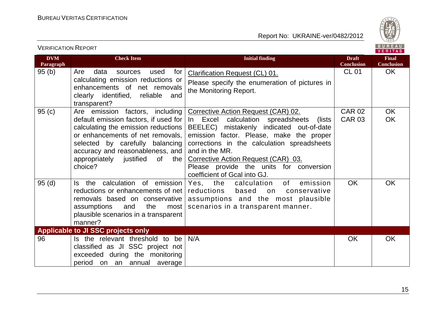

|                         |                                                                                                                                                                                                                                                                         |                                                                                                                                                                                                                                                                                                                                                                       |                                   | <b>VERIIAS</b>                    |
|-------------------------|-------------------------------------------------------------------------------------------------------------------------------------------------------------------------------------------------------------------------------------------------------------------------|-----------------------------------------------------------------------------------------------------------------------------------------------------------------------------------------------------------------------------------------------------------------------------------------------------------------------------------------------------------------------|-----------------------------------|-----------------------------------|
| <b>DVM</b><br>Paragraph | <b>Check Item</b>                                                                                                                                                                                                                                                       | <b>Initial finding</b>                                                                                                                                                                                                                                                                                                                                                | <b>Draft</b><br><b>Conclusion</b> | <b>Final</b><br><b>Conclusion</b> |
| 95(b)                   | Are<br>data<br>for<br>used<br>sources<br>calculating emission reductions or<br>enhancements of net removals<br>clearly identified, reliable<br>and<br>transparent?                                                                                                      | <b>Clarification Request (CL) 01.</b><br>Please specify the enumeration of pictures in<br>the Monitoring Report.                                                                                                                                                                                                                                                      | <b>CL 01</b>                      | <b>OK</b>                         |
| 95(c)                   | Are emission factors, including<br>default emission factors, if used for<br>calculating the emission reductions<br>or enhancements of net removals,<br>selected by carefully balancing<br>accuracy and reasonableness, and<br>appropriately justified of the<br>choice? | <b>Corrective Action Request (CAR) 02.</b><br>In Excel calculation spreadsheets<br>(lists)<br>BEELEC) mistakenly indicated out-of-date<br>emission factor. Please, make the proper<br>corrections in the calculation spreadsheets<br>and in the MR.<br>Corrective Action Request (CAR) 03.<br>Please provide the units for conversion<br>coefficient of Gcal into GJ. | <b>CAR 02</b><br><b>CAR 03</b>    | <b>OK</b><br><b>OK</b>            |
| 95(d)                   | the calculation of emission<br>Is.<br>reductions or enhancements of net<br>removals based on conservative<br>the<br>assumptions<br>and<br>most<br>plausible scenarios in a transparent<br>manner?                                                                       | Yes, the<br>of<br>calculation<br>emission<br>reductions<br>based<br>on<br>conservative<br>assumptions and the most plausible<br>scenarios in a transparent manner.                                                                                                                                                                                                    | <b>OK</b>                         | OK                                |
|                         | Applicable to JI SSC projects only                                                                                                                                                                                                                                      |                                                                                                                                                                                                                                                                                                                                                                       |                                   |                                   |
| 96                      | Is the relevant threshold to be<br>classified as JI SSC project not<br>exceeded during the monitoring<br>period on an annual average                                                                                                                                    | N/A                                                                                                                                                                                                                                                                                                                                                                   | OK                                | <b>OK</b>                         |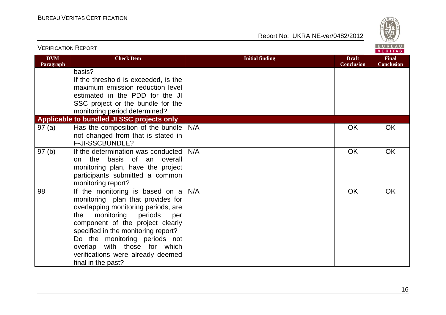

| <b>VERIFICATION REPORT</b> |                                                                                                                                                                                                                                                                                                                                                                |                        |                                   | BUREAU<br>VERITAS                 |
|----------------------------|----------------------------------------------------------------------------------------------------------------------------------------------------------------------------------------------------------------------------------------------------------------------------------------------------------------------------------------------------------------|------------------------|-----------------------------------|-----------------------------------|
| <b>DVM</b><br>Paragraph    | <b>Check Item</b>                                                                                                                                                                                                                                                                                                                                              | <b>Initial finding</b> | <b>Draft</b><br><b>Conclusion</b> | <b>Final</b><br><b>Conclusion</b> |
|                            | basis?<br>If the threshold is exceeded, is the<br>maximum emission reduction level<br>estimated in the PDD for the JI<br>SSC project or the bundle for the<br>monitoring period determined?                                                                                                                                                                    |                        |                                   |                                   |
|                            | Applicable to bundled JI SSC projects only                                                                                                                                                                                                                                                                                                                     |                        |                                   |                                   |
| 97(a)                      | Has the composition of the bundle<br>not changed from that is stated in<br>F-JI-SSCBUNDLE?                                                                                                                                                                                                                                                                     | N/A                    | <b>OK</b>                         | OK                                |
| 97(b)                      | If the determination was conducted<br>on the basis of an overall<br>monitoring plan, have the project<br>participants submitted a common<br>monitoring report?                                                                                                                                                                                                 | N/A                    | <b>OK</b>                         | <b>OK</b>                         |
| 98                         | If the monitoring is based on $a$<br>monitoring plan that provides for<br>overlapping monitoring periods, are<br>periods<br>monitoring<br>the<br>per<br>component of the project clearly<br>specified in the monitoring report?<br>Do the monitoring periods not<br>with those for which<br>overlap<br>verifications were already deemed<br>final in the past? | N/A                    | <b>OK</b>                         | <b>OK</b>                         |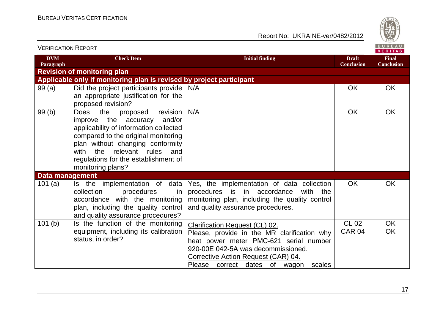

| <b>VERIFICATION REPORT</b> |                                                                                                                                                                                                                                                                                                  |                                                                                                                                                                                                                                                        |                                   | B U R E A U  <br><b>VERITAS</b>   |
|----------------------------|--------------------------------------------------------------------------------------------------------------------------------------------------------------------------------------------------------------------------------------------------------------------------------------------------|--------------------------------------------------------------------------------------------------------------------------------------------------------------------------------------------------------------------------------------------------------|-----------------------------------|-----------------------------------|
| <b>DVM</b><br>Paragraph    | <b>Check Item</b>                                                                                                                                                                                                                                                                                | <b>Initial finding</b>                                                                                                                                                                                                                                 | <b>Draft</b><br><b>Conclusion</b> | <b>Final</b><br><b>Conclusion</b> |
|                            | <b>Revision of monitoring plan</b>                                                                                                                                                                                                                                                               |                                                                                                                                                                                                                                                        |                                   |                                   |
|                            | Applicable only if monitoring plan is revised by project participant                                                                                                                                                                                                                             |                                                                                                                                                                                                                                                        |                                   |                                   |
| 99(a)                      | Did the project participants provide<br>an appropriate justification for the<br>proposed revision?                                                                                                                                                                                               | N/A                                                                                                                                                                                                                                                    | <b>OK</b>                         | <b>OK</b>                         |
| 99(b)                      | the<br>revision<br><b>Does</b><br>proposed<br>improve the accuracy<br>and/or<br>applicability of information collected<br>compared to the original monitoring<br>plan without changing conformity<br>with the relevant rules<br>and<br>regulations for the establishment of<br>monitoring plans? | N/A                                                                                                                                                                                                                                                    | <b>OK</b>                         | <b>OK</b>                         |
| <b>Data management</b>     |                                                                                                                                                                                                                                                                                                  |                                                                                                                                                                                                                                                        |                                   |                                   |
| 101 $(a)$                  | Is the implementation of data<br>collection<br>procedures<br>in.<br>accordance with the monitoring<br>plan, including the quality control<br>and quality assurance procedures?                                                                                                                   | Yes, the implementation of data collection<br>procedures is in accordance<br>with the<br>monitoring plan, including the quality control<br>and quality assurance procedures.                                                                           | <b>OK</b>                         | <b>OK</b>                         |
| 101(b)                     | Is the function of the monitoring<br>equipment, including its calibration<br>status, in order?                                                                                                                                                                                                   | <b>Clarification Request (CL) 02.</b><br>Please, provide in the MR clarification why<br>heat power meter PMC-621 serial number<br>920-00E 042-5A was decommissioned.<br>Corrective Action Request (CAR) 04.<br>Please correct dates of wagon<br>scales | <b>CL 02</b><br>CAR 04            | OK<br><b>OK</b>                   |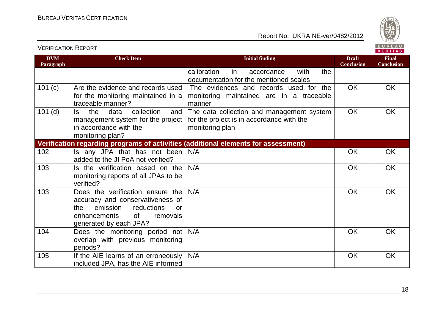VERIFICATION REPORT

#### Report No: UKRAINE-ver/0482/2012



**VERITAS Initial finding Initial finding Initial finding Draft Draft DVM Final Paragraph Conclusion Conclusion** calibration in accordance with the documentation for the mentioned scales. 101 (c) Are the evidence and records used The evidences and records used for the OK OK for the monitoring maintained in a monitoring maintained are in a traceable traceable manner? manner 101 (d) Is the data collection and The data collection and management system OK OK management system for the project for the project is in accordance with the in accordance with the monitoring plan monitoring plan? **Verification regarding programs of activities (additional elements for assessment)** 102  $\vert$  Is any JPA that has not been  $\vert$  N/A N/A OK OK added to the JI PoA not verified? 103  $\blacksquare$  Is the verification based on the N/A N/A OK OK monitoring reports of all JPAs to be verified? 103  $\blacksquare$  Does the verification ensure the N/A N/A OK OK accuracy and conservativeness of the emission reductions or enhancements of removals generated by each JPA? 104 Does the monitoring period not N/A N/A OK OK overlap with previous monitoring periods? 105 If the AIE learns of an erroneously  $\vert$  N/A N/A OK OKincluded JPA, has the AIE informed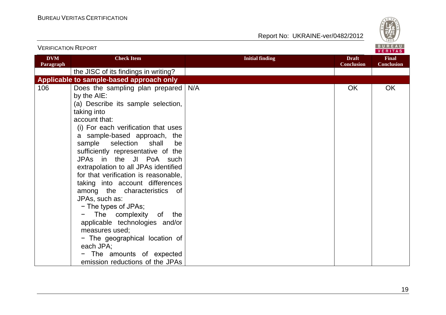

| VLINI IVATIVIV INLI VINT |                                                                                                                                                                                                                                                                                                                                                                                                                                                                                                                                                                                                                                                                                              |                        | VERITAS                           |                                   |
|--------------------------|----------------------------------------------------------------------------------------------------------------------------------------------------------------------------------------------------------------------------------------------------------------------------------------------------------------------------------------------------------------------------------------------------------------------------------------------------------------------------------------------------------------------------------------------------------------------------------------------------------------------------------------------------------------------------------------------|------------------------|-----------------------------------|-----------------------------------|
| <b>DVM</b><br>Paragraph  | <b>Check Item</b>                                                                                                                                                                                                                                                                                                                                                                                                                                                                                                                                                                                                                                                                            | <b>Initial finding</b> | <b>Draft</b><br><b>Conclusion</b> | <b>Final</b><br><b>Conclusion</b> |
|                          | the JISC of its findings in writing?                                                                                                                                                                                                                                                                                                                                                                                                                                                                                                                                                                                                                                                         |                        |                                   |                                   |
|                          | Applicable to sample-based approach only                                                                                                                                                                                                                                                                                                                                                                                                                                                                                                                                                                                                                                                     |                        |                                   |                                   |
| 106                      | Does the sampling plan prepared<br>by the AIE:<br>(a) Describe its sample selection,<br>taking into<br>account that:<br>(i) For each verification that uses<br>a sample-based approach, the<br>sample selection<br>shall<br>be<br>sufficiently representative of the<br>JPAs in the JI PoA such<br>extrapolation to all JPAs identified<br>for that verification is reasonable,<br>taking into account differences<br>among the characteristics<br>of<br>JPAs, such as:<br>- The types of JPAs;<br>The complexity of<br>the<br>applicable technologies and/or<br>measures used;<br>- The geographical location of<br>each JPA;<br>The amounts of expected<br>emission reductions of the JPAs | N/A                    | <b>OK</b>                         | OK                                |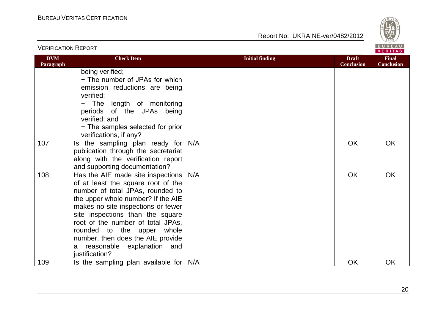

| <b>VERIFICATION REPORT</b> |                                                                                                                                                                                                                                                                                                                                                                                       |                        |                                   | BUREAU<br><b>VERITAS</b>          |
|----------------------------|---------------------------------------------------------------------------------------------------------------------------------------------------------------------------------------------------------------------------------------------------------------------------------------------------------------------------------------------------------------------------------------|------------------------|-----------------------------------|-----------------------------------|
| <b>DVM</b><br>Paragraph    | <b>Check Item</b>                                                                                                                                                                                                                                                                                                                                                                     | <b>Initial finding</b> | <b>Draft</b><br><b>Conclusion</b> | <b>Final</b><br><b>Conclusion</b> |
|                            | being verified;<br>- The number of JPAs for which<br>emission reductions are being<br>verified;<br>The length of monitoring<br>periods of the JPAs being<br>verified; and<br>- The samples selected for prior<br>verifications, if any?                                                                                                                                               |                        |                                   |                                   |
| 107                        | Is the sampling plan ready for  <br>publication through the secretariat<br>along with the verification report<br>and supporting documentation?                                                                                                                                                                                                                                        | N/A                    | <b>OK</b>                         | <b>OK</b>                         |
| 108                        | Has the AIE made site inspections<br>of at least the square root of the<br>number of total JPAs, rounded to<br>the upper whole number? If the AIE<br>makes no site inspections or fewer<br>site inspections than the square<br>root of the number of total JPAs,<br>rounded to the upper whole<br>number, then does the AIE provide<br>a reasonable explanation and<br>justification? | N/A                    | <b>OK</b>                         | <b>OK</b>                         |
| 109                        | Is the sampling plan available for                                                                                                                                                                                                                                                                                                                                                    | N/A                    | OK                                | <b>OK</b>                         |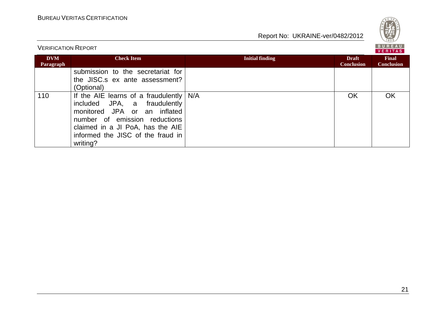

VERIFICATION REPORT

|                         |                                                                                                                                                                                                                              |                        |                                   | VERITAS                    |  |
|-------------------------|------------------------------------------------------------------------------------------------------------------------------------------------------------------------------------------------------------------------------|------------------------|-----------------------------------|----------------------------|--|
| <b>DVM</b><br>Paragraph | <b>Check Item</b>                                                                                                                                                                                                            | <b>Initial finding</b> | <b>Draft</b><br><b>Conclusion</b> | Final<br><b>Conclusion</b> |  |
|                         | submission to the secretariat for<br>the JISC.s ex ante assessment?<br>(Optional)                                                                                                                                            |                        |                                   |                            |  |
| 110                     | If the AIE learns of a fraudulently<br>fraudulently<br>included JPA, a<br>monitored JPA or an inflated<br>number of emission reductions<br>claimed in a JI PoA, has the AIE<br>informed the JISC of the fraud in<br>writing? | N/A                    | OK                                | <b>OK</b>                  |  |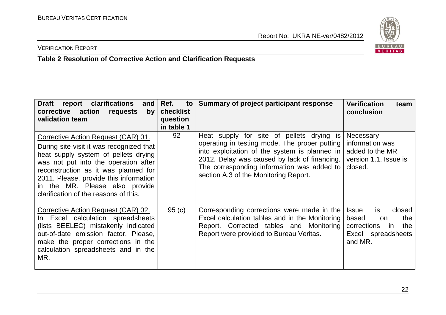

# VERIFICATION REPORT

# **Table 2 Resolution of Corrective Action and Clarification Requests**

| <b>Draft</b><br>report clarifications<br>and<br>corrective action requests<br>by<br>validation team                                                                                                                                                                                                                          | Ref.<br>to<br>checklist<br>question<br>in table 1 | Summary of project participant response                                                                                                                                                                                                                                            | <b>Verification</b><br>team<br>conclusion                                                                               |
|------------------------------------------------------------------------------------------------------------------------------------------------------------------------------------------------------------------------------------------------------------------------------------------------------------------------------|---------------------------------------------------|------------------------------------------------------------------------------------------------------------------------------------------------------------------------------------------------------------------------------------------------------------------------------------|-------------------------------------------------------------------------------------------------------------------------|
| Corrective Action Request (CAR) 01.<br>During site-visit it was recognized that<br>heat supply system of pellets drying<br>was not put into the operation after<br>reconstruction as it was planned for<br>2011. Please, provide this information<br>in the MR. Please also provide<br>clarification of the reasons of this. | 92                                                | Heat supply for site of pellets drying is<br>operating in testing mode. The proper putting<br>into exploitation of the system is planned in<br>2012. Delay was caused by lack of financing.<br>The corresponding information was added to<br>section A.3 of the Monitoring Report. | Necessary<br>information was<br>added to the MR<br>version 1.1. Issue is<br>closed.                                     |
| Corrective Action Request (CAR) 02.<br>In Excel calculation spreadsheets<br>(lists BEELEC) mistakenly indicated<br>out-of-date emission factor. Please,<br>make the proper corrections in the<br>calculation spreadsheets and in the<br>MR.                                                                                  | 95(c)                                             | Corresponding corrections were made in the<br>Excel calculation tables and in the Monitoring<br>Report. Corrected tables and Monitoring<br>Report were provided to Bureau Veritas.                                                                                                 | is.<br><b>Issue</b><br>closed<br>based<br>the<br><b>on</b><br>corrections<br>in<br>the<br>Excel spreadsheets<br>and MR. |